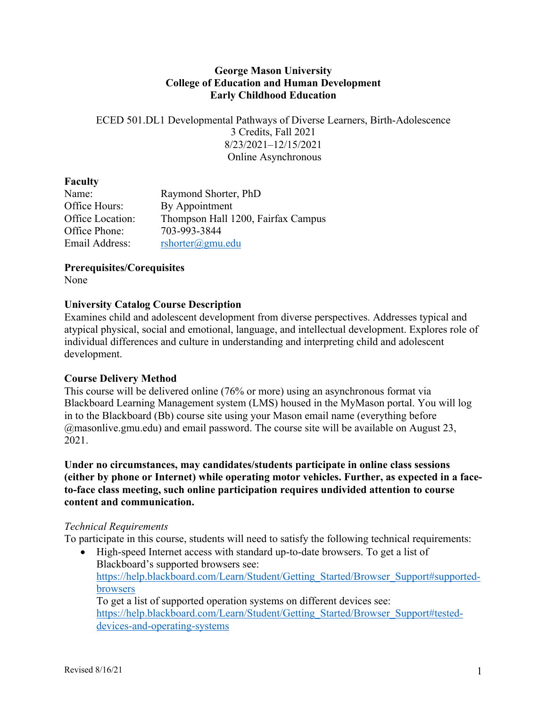#### **George Mason University College of Education and Human Development Early Childhood Education**

ECED 501.DL1 Developmental Pathways of Diverse Learners, Birth-Adolescence 3 Credits, Fall 2021 8/23/2021–12/15/2021 Online Asynchronous

#### **Faculty**

| Name:            | Raymond Shorter, PhD               |
|------------------|------------------------------------|
| Office Hours:    | By Appointment                     |
| Office Location: | Thompson Hall 1200, Fairfax Campus |
| Office Phone:    | 703-993-3844                       |
| Email Address:   | rshorter@gmu.edu                   |

**Prerequisites/Corequisites**

None

## **University Catalog Course Description**

Examines child and adolescent development from diverse perspectives. Addresses typical and atypical physical, social and emotional, language, and intellectual development. Explores role of individual differences and culture in understanding and interpreting child and adolescent development.

## **Course Delivery Method**

This course will be delivered online (76% or more) using an asynchronous format via Blackboard Learning Management system (LMS) housed in the MyMason portal. You will log in to the Blackboard (Bb) course site using your Mason email name (everything before @masonlive.gmu.edu) and email password. The course site will be available on August 23, 2021.

**Under no circumstances, may candidates/students participate in online class sessions (either by phone or Internet) while operating motor vehicles. Further, as expected in a faceto-face class meeting, such online participation requires undivided attention to course content and communication.**

#### *Technical Requirements*

To participate in this course, students will need to satisfy the following technical requirements:

• High-speed Internet access with standard up-to-date browsers. To get a list of Blackboard's supported browsers see: https://help.blackboard.com/Learn/Student/Getting\_Started/Browser\_Support#supportedbrowsers To get a list of supported operation systems on different devices see: https://help.blackboard.com/Learn/Student/Getting\_Started/Browser\_Support#testeddevices-and-operating-systems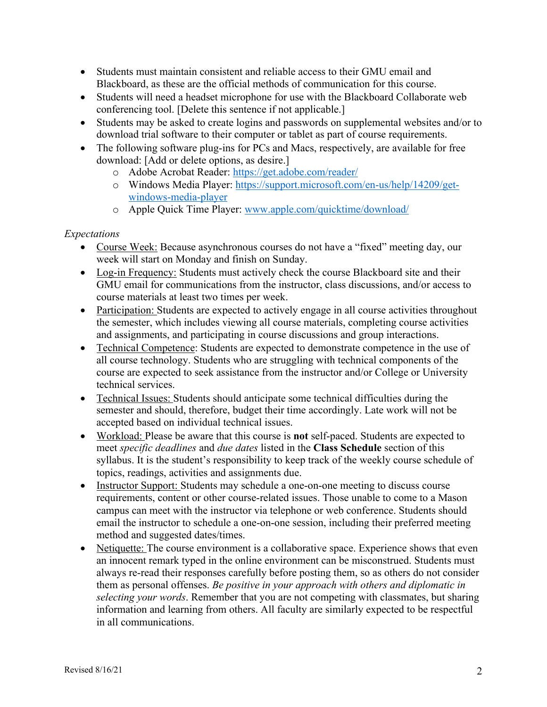- Students must maintain consistent and reliable access to their GMU email and Blackboard, as these are the official methods of communication for this course.
- Students will need a headset microphone for use with the Blackboard Collaborate web conferencing tool. [Delete this sentence if not applicable.]
- Students may be asked to create logins and passwords on supplemental websites and/or to download trial software to their computer or tablet as part of course requirements.
- The following software plug-ins for PCs and Macs, respectively, are available for free download: [Add or delete options, as desire.]
	- o Adobe Acrobat Reader: https://get.adobe.com/reader/
	- o Windows Media Player: https://support.microsoft.com/en-us/help/14209/getwindows-media-player
	- o Apple Quick Time Player: www.apple.com/quicktime/download/

## *Expectations*

- Course Week: Because asynchronous courses do not have a "fixed" meeting day, our week will start on Monday and finish on Sunday.
- Log-in Frequency: Students must actively check the course Blackboard site and their GMU email for communications from the instructor, class discussions, and/or access to course materials at least two times per week.
- Participation: Students are expected to actively engage in all course activities throughout the semester, which includes viewing all course materials, completing course activities and assignments, and participating in course discussions and group interactions.
- Technical Competence: Students are expected to demonstrate competence in the use of all course technology. Students who are struggling with technical components of the course are expected to seek assistance from the instructor and/or College or University technical services.
- Technical Issues: Students should anticipate some technical difficulties during the semester and should, therefore, budget their time accordingly. Late work will not be accepted based on individual technical issues.
- Workload: Please be aware that this course is **not** self-paced. Students are expected to meet *specific deadlines* and *due dates* listed in the **Class Schedule** section of this syllabus. It is the student's responsibility to keep track of the weekly course schedule of topics, readings, activities and assignments due.
- Instructor Support: Students may schedule a one-on-one meeting to discuss course requirements, content or other course-related issues. Those unable to come to a Mason campus can meet with the instructor via telephone or web conference. Students should email the instructor to schedule a one-on-one session, including their preferred meeting method and suggested dates/times.
- Netiquette: The course environment is a collaborative space. Experience shows that even an innocent remark typed in the online environment can be misconstrued. Students must always re-read their responses carefully before posting them, so as others do not consider them as personal offenses. *Be positive in your approach with others and diplomatic in selecting your words*. Remember that you are not competing with classmates, but sharing information and learning from others. All faculty are similarly expected to be respectful in all communications.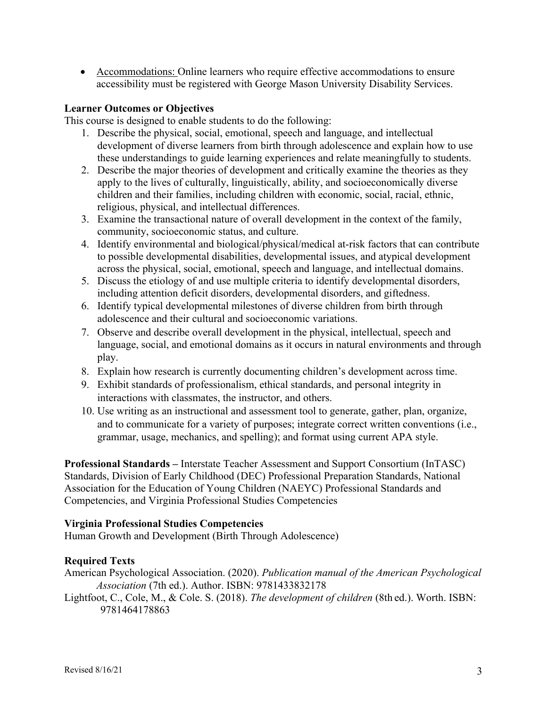• Accommodations: Online learners who require effective accommodations to ensure accessibility must be registered with George Mason University Disability Services.

#### **Learner Outcomes or Objectives**

This course is designed to enable students to do the following:

- 1. Describe the physical, social, emotional, speech and language, and intellectual development of diverse learners from birth through adolescence and explain how to use these understandings to guide learning experiences and relate meaningfully to students.
- 2. Describe the major theories of development and critically examine the theories as they apply to the lives of culturally, linguistically, ability, and socioeconomically diverse children and their families, including children with economic, social, racial, ethnic, religious, physical, and intellectual differences.
- 3. Examine the transactional nature of overall development in the context of the family, community, socioeconomic status, and culture.
- 4. Identify environmental and biological/physical/medical at-risk factors that can contribute to possible developmental disabilities, developmental issues, and atypical development across the physical, social, emotional, speech and language, and intellectual domains.
- 5. Discuss the etiology of and use multiple criteria to identify developmental disorders, including attention deficit disorders, developmental disorders, and giftedness.
- 6. Identify typical developmental milestones of diverse children from birth through adolescence and their cultural and socioeconomic variations.
- 7. Observe and describe overall development in the physical, intellectual, speech and language, social, and emotional domains as it occurs in natural environments and through play.
- 8. Explain how research is currently documenting children's development across time.
- 9. Exhibit standards of professionalism, ethical standards, and personal integrity in interactions with classmates, the instructor, and others.
- 10. Use writing as an instructional and assessment tool to generate, gather, plan, organize, and to communicate for a variety of purposes; integrate correct written conventions (i.e., grammar, usage, mechanics, and spelling); and format using current APA style.

**Professional Standards –** Interstate Teacher Assessment and Support Consortium (InTASC) Standards, Division of Early Childhood (DEC) Professional Preparation Standards, National Association for the Education of Young Children (NAEYC) Professional Standards and Competencies, and Virginia Professional Studies Competencies

## **Virginia Professional Studies Competencies**

Human Growth and Development (Birth Through Adolescence)

## **Required Texts**

American Psychological Association. (2020). *Publication manual of the American Psychological Association* (7th ed.). Author. ISBN: 9781433832178

Lightfoot, C., Cole, M., & Cole. S. (2018). *The development of children* (8th ed.). Worth. ISBN: 9781464178863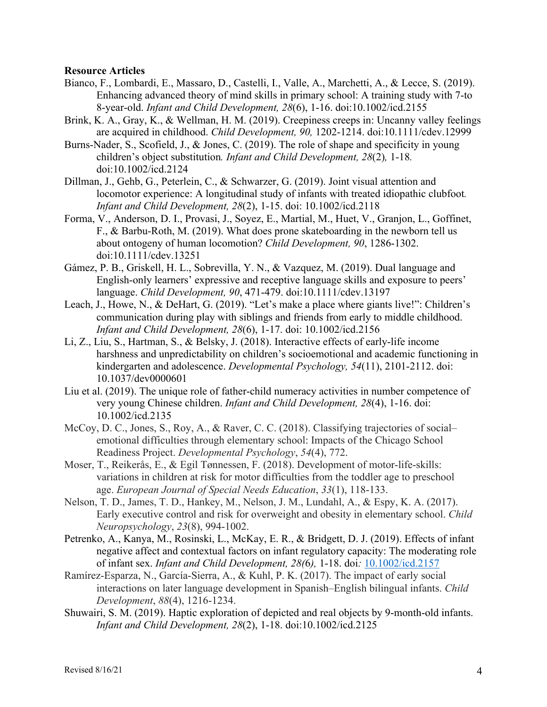#### **Resource Articles**

- Bianco, F., Lombardi, E., Massaro, D., Castelli, I., Valle, A., Marchetti, A., & Lecce, S. (2019). Enhancing advanced theory of mind skills in primary school: A training study with 7-to 8-year-old. *Infant and Child Development, 28*(6), 1-16. doi:10.1002/icd.2155
- Brink, K. A., Gray, K., & Wellman, H. M. (2019). Creepiness creeps in: Uncanny valley feelings are acquired in childhood. *Child Development, 90,* 1202-1214. doi:10.1111/cdev.12999
- Burns-Nader, S., Scofield, J., & Jones, C. (2019). The role of shape and specificity in young children's object substitution*. Infant and Child Development, 28*(2)*,* 1-18*.*  doi:10.1002/icd.2124
- Dillman, J., Gehb, G., Peterlein, C., & Schwarzer, G. (2019). Joint visual attention and locomotor experience: A longitudinal study of infants with treated idiopathic clubfoot*. Infant and Child Development, 28*(2), 1-15. doi: 10.1002/icd.2118
- Forma, V., Anderson, D. I., Provasi, J., Soyez, E., Martial, M., Huet, V., Granjon, L., Goffinet, F., & Barbu-Roth, M. (2019). What does prone skateboarding in the newborn tell us about ontogeny of human locomotion? *Child Development, 90*, 1286-1302. doi:10.1111/cdev.13251
- Gámez, P. B., Griskell, H. L., Sobrevilla, Y. N., & Vazquez, M. (2019). Dual language and English-only learners' expressive and receptive language skills and exposure to peers' language. *Child Development, 90*, 471-479. doi:10.1111/cdev.13197
- Leach, J., Howe, N., & DeHart, G. (2019). "Let's make a place where giants live!": Children's communication during play with siblings and friends from early to middle childhood. *Infant and Child Development, 28*(6), 1-17. doi: 10.1002/icd.2156
- Li, Z., Liu, S., Hartman, S., & Belsky, J. (2018). Interactive effects of early-life income harshness and unpredictability on children's socioemotional and academic functioning in kindergarten and adolescence. *Developmental Psychology, 54*(11), 2101-2112. doi: 10.1037/dev0000601
- Liu et al. (2019). The unique role of father-child numeracy activities in number competence of very young Chinese children. *Infant and Child Development, 28*(4), 1-16. doi: 10.1002/icd.2135
- McCoy, D. C., Jones, S., Roy, A., & Raver, C. C. (2018). Classifying trajectories of social– emotional difficulties through elementary school: Impacts of the Chicago School Readiness Project. *Developmental Psychology*, *54*(4), 772.
- Moser, T., Reikerås, E., & Egil Tønnessen, F. (2018). Development of motor-life-skills: variations in children at risk for motor difficulties from the toddler age to preschool age. *European Journal of Special Needs Education*, *33*(1), 118-133.
- Nelson, T. D., James, T. D., Hankey, M., Nelson, J. M., Lundahl, A., & Espy, K. A. (2017). Early executive control and risk for overweight and obesity in elementary school. *Child Neuropsychology*, *23*(8), 994-1002.
- Petrenko, A., Kanya, M., Rosinski, L., McKay, E. R., & Bridgett, D. J. (2019). Effects of infant negative affect and contextual factors on infant regulatory capacity: The moderating role of infant sex. *Infant and Child Development, 28(*6*),* 1-18. doi*:* 10.1002/icd.2157
- Ramírez‐Esparza, N., García‐Sierra, A., & Kuhl, P. K. (2017). The impact of early social interactions on later language development in Spanish–English bilingual infants. *Child Development*, *88*(4), 1216-1234.
- Shuwairi, S. M. (2019). Haptic exploration of depicted and real objects by 9-month-old infants. *Infant and Child Development, 28*(2), 1-18. doi:10.1002/icd.2125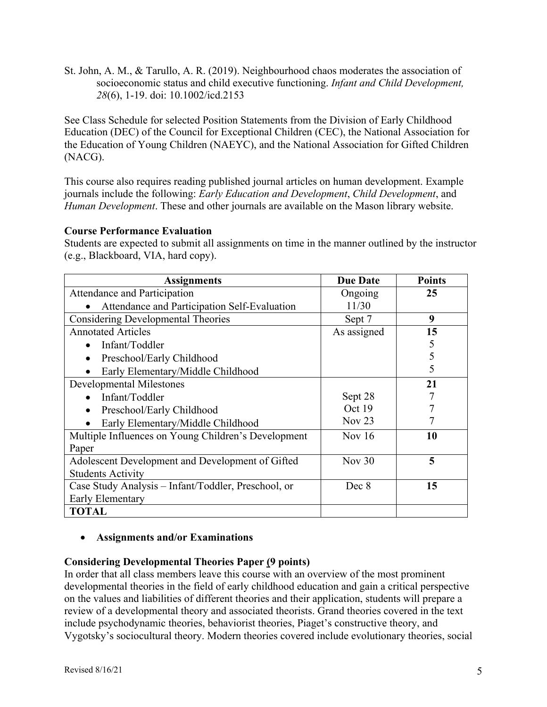St. John, A. M., & Tarullo, A. R. (2019). Neighbourhood chaos moderates the association of socioeconomic status and child executive functioning. *Infant and Child Development, 28*(6), 1-19. doi: 10.1002/icd.2153

See Class Schedule for selected Position Statements from the Division of Early Childhood Education (DEC) of the Council for Exceptional Children (CEC), the National Association for the Education of Young Children (NAEYC), and the National Association for Gifted Children (NACG).

This course also requires reading published journal articles on human development. Example journals include the following: *Early Education and Development*, *Child Development*, and *Human Development*. These and other journals are available on the Mason library website.

# **Course Performance Evaluation**

Students are expected to submit all assignments on time in the manner outlined by the instructor (e.g., Blackboard, VIA, hard copy).

| <b>Assignments</b>                                  | <b>Due Date</b> | <b>Points</b> |
|-----------------------------------------------------|-----------------|---------------|
| Attendance and Participation                        | Ongoing         | 25            |
| Attendance and Participation Self-Evaluation        | 11/30           |               |
| <b>Considering Developmental Theories</b>           | Sept 7          | 9             |
| <b>Annotated Articles</b>                           | As assigned     | 15            |
| Infant/Toddler<br>$\bullet$                         |                 | 5             |
| Preschool/Early Childhood<br>$\bullet$              |                 | 5             |
| Early Elementary/Middle Childhood                   |                 | 5             |
| Developmental Milestones                            |                 | 21            |
| Infant/Toddler                                      | Sept 28         |               |
| Preschool/Early Childhood<br>$\bullet$              | Oct 19          |               |
| Early Elementary/Middle Childhood                   | Nov $23$        |               |
| Multiple Influences on Young Children's Development | Nov $16$        | 10            |
| Paper                                               |                 |               |
| Adolescent Development and Development of Gifted    | Nov $30$        | 5             |
| <b>Students Activity</b>                            |                 |               |
| Case Study Analysis – Infant/Toddler, Preschool, or | Dec 8           | 15            |
| Early Elementary                                    |                 |               |
| <b>TOTAL</b>                                        |                 |               |

# • **Assignments and/or Examinations**

## **Considering Developmental Theories Paper (9 points)**

In order that all class members leave this course with an overview of the most prominent developmental theories in the field of early childhood education and gain a critical perspective on the values and liabilities of different theories and their application, students will prepare a review of a developmental theory and associated theorists. Grand theories covered in the text include psychodynamic theories, behaviorist theories, Piaget's constructive theory, and Vygotsky's sociocultural theory. Modern theories covered include evolutionary theories, social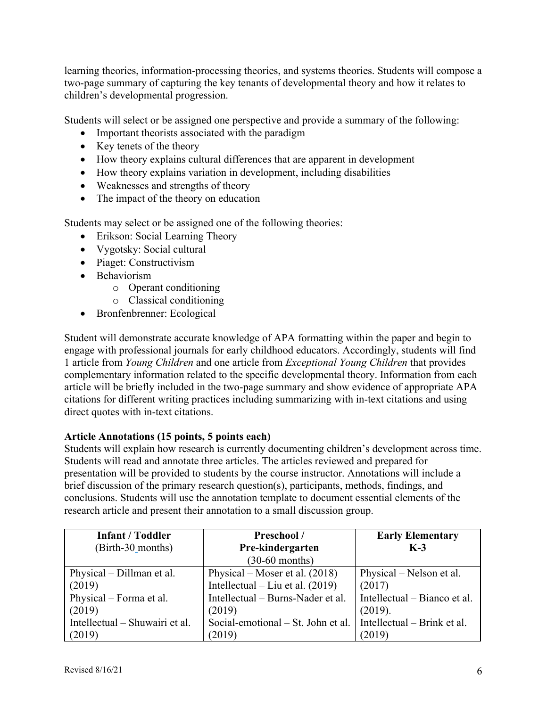learning theories, information-processing theories, and systems theories. Students will compose a two-page summary of capturing the key tenants of developmental theory and how it relates to children's developmental progression.

Students will select or be assigned one perspective and provide a summary of the following:

- Important theorists associated with the paradigm
- Key tenets of the theory
- How theory explains cultural differences that are apparent in development
- How theory explains variation in development, including disabilities
- Weaknesses and strengths of theory
- The impact of the theory on education

Students may select or be assigned one of the following theories:

- Erikson: Social Learning Theory
- Vygotsky: Social cultural
- Piaget: Constructivism
- Behaviorism
	- o Operant conditioning
	- o Classical conditioning
- Bronfenbrenner: Ecological

Student will demonstrate accurate knowledge of APA formatting within the paper and begin to engage with professional journals for early childhood educators. Accordingly, students will find 1 article from *Young Children* and one article from *Exceptional Young Children* that provides complementary information related to the specific developmental theory. Information from each article will be briefly included in the two-page summary and show evidence of appropriate APA citations for different writing practices including summarizing with in-text citations and using direct quotes with in-text citations.

## **Article Annotations (15 points, 5 points each)**

Students will explain how research is currently documenting children's development across time. Students will read and annotate three articles. The articles reviewed and prepared for presentation will be provided to students by the course instructor. Annotations will include a brief discussion of the primary research question(s), participants, methods, findings, and conclusions. Students will use the annotation template to document essential elements of the research article and present their annotation to a small discussion group.

| <b>Infant / Toddler</b>        | Preschool /                        | <b>Early Elementary</b>      |
|--------------------------------|------------------------------------|------------------------------|
| (Birth-30_months)              | Pre-kindergarten                   | $K-3$                        |
|                                | $(30-60$ months)                   |                              |
| Physical – Dillman et al.      | Physical – Moser et al. $(2018)$   | Physical – Nelson et al.     |
| (2019)                         | Intellectual – Liu et al. $(2019)$ | (2017)                       |
| Physical – Forma et al.        | Intellectual - Burns-Nader et al.  | Intellectual – Bianco et al. |
| (2019)                         | (2019)                             | (2019).                      |
| Intellectual – Shuwairi et al. | Social-emotional – St. John et al. | Intellectual – Brink et al.  |
| (2019)                         | (2019)                             | (2019)                       |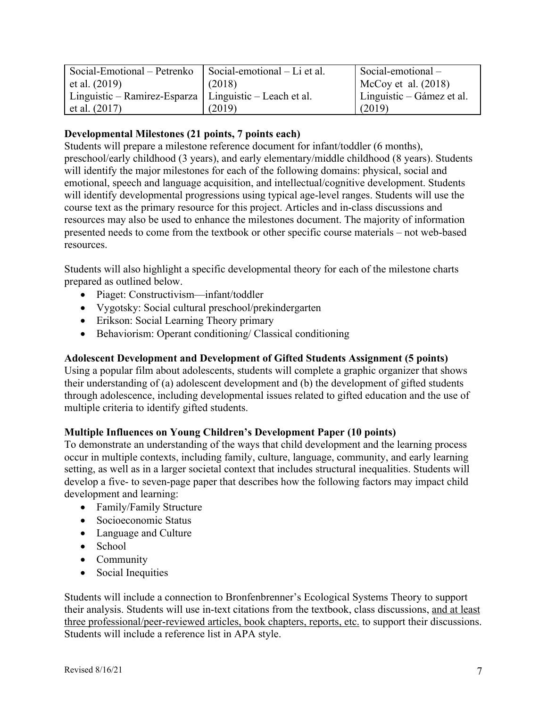| Social-Emotional – Petrenko                              | Social-emotional – Li et al. | Social-emotional-         |
|----------------------------------------------------------|------------------------------|---------------------------|
| et al. $(2019)$                                          | (2018)                       | McCoy et al. $(2018)$     |
| Linguistic – Ramirez-Esparza   Linguistic – Leach et al. |                              | Linguistic – Gámez et al. |
| et al. $(2017)$                                          | (2019)                       | (2019)                    |

## **Developmental Milestones (21 points, 7 points each)**

Students will prepare a milestone reference document for infant/toddler (6 months), preschool/early childhood (3 years), and early elementary/middle childhood (8 years). Students will identify the major milestones for each of the following domains: physical, social and emotional, speech and language acquisition, and intellectual/cognitive development. Students will identify developmental progressions using typical age-level ranges. Students will use the course text as the primary resource for this project. Articles and in-class discussions and resources may also be used to enhance the milestones document. The majority of information presented needs to come from the textbook or other specific course materials – not web-based resources.

Students will also highlight a specific developmental theory for each of the milestone charts prepared as outlined below.

- Piaget: Constructivism—infant/toddler
- Vygotsky: Social cultural preschool/prekindergarten
- Erikson: Social Learning Theory primary
- Behaviorism: Operant conditioning/ Classical conditioning

## **Adolescent Development and Development of Gifted Students Assignment (5 points)**

Using a popular film about adolescents, students will complete a graphic organizer that shows their understanding of (a) adolescent development and (b) the development of gifted students through adolescence, including developmental issues related to gifted education and the use of multiple criteria to identify gifted students.

## **Multiple Influences on Young Children's Development Paper (10 points)**

To demonstrate an understanding of the ways that child development and the learning process occur in multiple contexts, including family, culture, language, community, and early learning setting, as well as in a larger societal context that includes structural inequalities. Students will develop a five- to seven-page paper that describes how the following factors may impact child development and learning:

- Family/Family Structure
- Socioeconomic Status
- Language and Culture
- School
- Community
- Social Inequities

Students will include a connection to Bronfenbrenner's Ecological Systems Theory to support their analysis. Students will use in-text citations from the textbook, class discussions, and at least three professional/peer-reviewed articles, book chapters, reports, etc. to support their discussions. Students will include a reference list in APA style.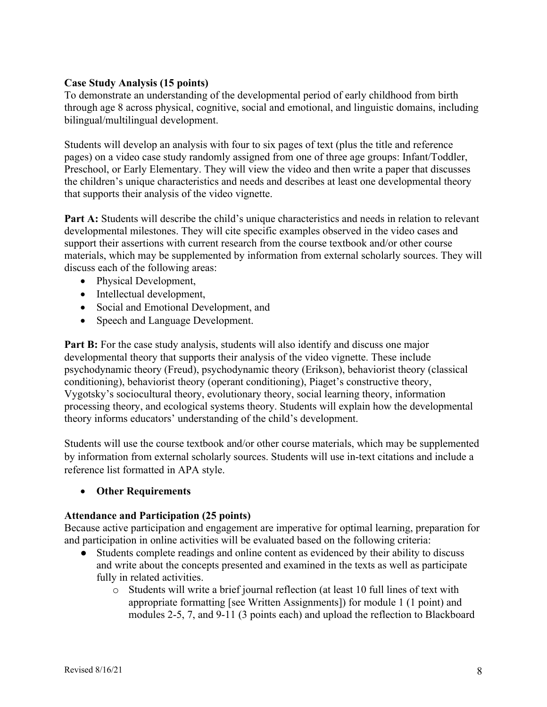## **Case Study Analysis (15 points)**

To demonstrate an understanding of the developmental period of early childhood from birth through age 8 across physical, cognitive, social and emotional, and linguistic domains, including bilingual/multilingual development.

Students will develop an analysis with four to six pages of text (plus the title and reference pages) on a video case study randomly assigned from one of three age groups: Infant/Toddler, Preschool, or Early Elementary. They will view the video and then write a paper that discusses the children's unique characteristics and needs and describes at least one developmental theory that supports their analysis of the video vignette.

**Part A:** Students will describe the child's unique characteristics and needs in relation to relevant developmental milestones. They will cite specific examples observed in the video cases and support their assertions with current research from the course textbook and/or other course materials, which may be supplemented by information from external scholarly sources. They will discuss each of the following areas:

- Physical Development,
- Intellectual development,
- Social and Emotional Development, and
- Speech and Language Development.

**Part B:** For the case study analysis, students will also identify and discuss one major developmental theory that supports their analysis of the video vignette. These include psychodynamic theory (Freud), psychodynamic theory (Erikson), behaviorist theory (classical conditioning), behaviorist theory (operant conditioning), Piaget's constructive theory, Vygotsky's sociocultural theory, evolutionary theory, social learning theory, information processing theory, and ecological systems theory. Students will explain how the developmental theory informs educators' understanding of the child's development.

Students will use the course textbook and/or other course materials, which may be supplemented by information from external scholarly sources. Students will use in-text citations and include a reference list formatted in APA style.

• **Other Requirements**

## **Attendance and Participation (25 points)**

Because active participation and engagement are imperative for optimal learning, preparation for and participation in online activities will be evaluated based on the following criteria:

- Students complete readings and online content as evidenced by their ability to discuss and write about the concepts presented and examined in the texts as well as participate fully in related activities.
	- o Students will write a brief journal reflection (at least 10 full lines of text with appropriate formatting [see Written Assignments]) for module 1 (1 point) and modules 2-5, 7, and 9-11 (3 points each) and upload the reflection to Blackboard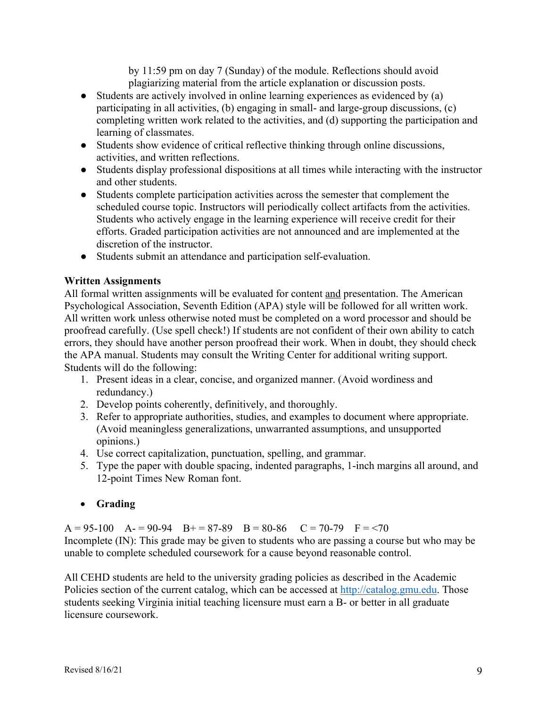by 11:59 pm on day 7 (Sunday) of the module. Reflections should avoid plagiarizing material from the article explanation or discussion posts.

- Students are actively involved in online learning experiences as evidenced by (a) participating in all activities, (b) engaging in small- and large-group discussions, (c) completing written work related to the activities, and (d) supporting the participation and learning of classmates.
- Students show evidence of critical reflective thinking through online discussions, activities, and written reflections.
- Students display professional dispositions at all times while interacting with the instructor and other students.
- Students complete participation activities across the semester that complement the scheduled course topic. Instructors will periodically collect artifacts from the activities. Students who actively engage in the learning experience will receive credit for their efforts. Graded participation activities are not announced and are implemented at the discretion of the instructor.
- Students submit an attendance and participation self-evaluation.

# **Written Assignments**

All formal written assignments will be evaluated for content and presentation. The American Psychological Association, Seventh Edition (APA) style will be followed for all written work. All written work unless otherwise noted must be completed on a word processor and should be proofread carefully. (Use spell check!) If students are not confident of their own ability to catch errors, they should have another person proofread their work. When in doubt, they should check the APA manual. Students may consult the Writing Center for additional writing support. Students will do the following:

- 1. Present ideas in a clear, concise, and organized manner. (Avoid wordiness and redundancy.)
- 2. Develop points coherently, definitively, and thoroughly.
- 3. Refer to appropriate authorities, studies, and examples to document where appropriate. (Avoid meaningless generalizations, unwarranted assumptions, and unsupported opinions.)
- 4. Use correct capitalization, punctuation, spelling, and grammar.
- 5. Type the paper with double spacing, indented paragraphs, 1-inch margins all around, and 12-point Times New Roman font.

# • **Grading**

 $A = 95-100$   $A = 90-94$   $B = 87-89$   $B = 80-86$   $C = 70-79$   $F = 70$ Incomplete (IN): This grade may be given to students who are passing a course but who may be unable to complete scheduled coursework for a cause beyond reasonable control.

All CEHD students are held to the university grading policies as described in the Academic Policies section of the current catalog, which can be accessed at http://catalog.gmu.edu. Those students seeking Virginia initial teaching licensure must earn a B- or better in all graduate licensure coursework.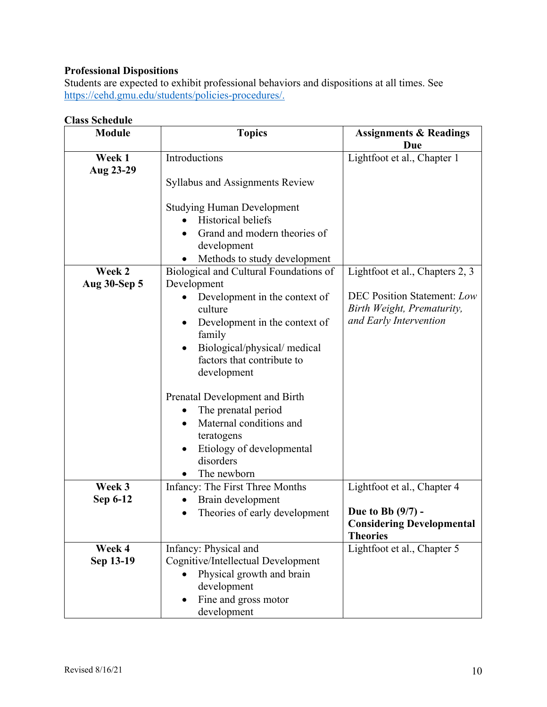# **Professional Dispositions**

Students are expected to exhibit professional behaviors and dispositions at all times. See https://cehd.gmu.edu/students/policies-procedures/.

#### **Class Schedule**

| <b>Module</b>       | <b>Topics</b>                                                                                                                                                                               | <b>Assignments &amp; Readings</b><br>Due                                                   |
|---------------------|---------------------------------------------------------------------------------------------------------------------------------------------------------------------------------------------|--------------------------------------------------------------------------------------------|
| Week 1<br>Aug 23-29 | Introductions                                                                                                                                                                               | Lightfoot et al., Chapter 1                                                                |
|                     | <b>Syllabus and Assignments Review</b>                                                                                                                                                      |                                                                                            |
|                     | <b>Studying Human Development</b><br><b>Historical beliefs</b><br>Grand and modern theories of<br>development                                                                               |                                                                                            |
|                     | Methods to study development                                                                                                                                                                |                                                                                            |
| Week 2              | Biological and Cultural Foundations of                                                                                                                                                      | Lightfoot et al., Chapters 2, 3                                                            |
| Aug 30-Sep 5        | Development<br>Development in the context of<br>culture<br>Development in the context of<br>family<br>Biological/physical/medical<br>$\bullet$<br>factors that contribute to<br>development | <b>DEC Position Statement: Low</b><br>Birth Weight, Prematurity,<br>and Early Intervention |
|                     | Prenatal Development and Birth<br>The prenatal period<br>Maternal conditions and<br>$\bullet$<br>teratogens<br>Etiology of developmental<br>٠<br>disorders<br>The newborn                   |                                                                                            |
| Week 3              | Infancy: The First Three Months                                                                                                                                                             | Lightfoot et al., Chapter 4                                                                |
| Sep 6-12            | Brain development<br>Theories of early development                                                                                                                                          | Due to Bb $(9/7)$ -<br><b>Considering Developmental</b><br><b>Theories</b>                 |
| Week 4              | Infancy: Physical and                                                                                                                                                                       | Lightfoot et al., Chapter 5                                                                |
| Sep 13-19           | Cognitive/Intellectual Development<br>Physical growth and brain<br>development<br>Fine and gross motor                                                                                      |                                                                                            |
|                     | development                                                                                                                                                                                 |                                                                                            |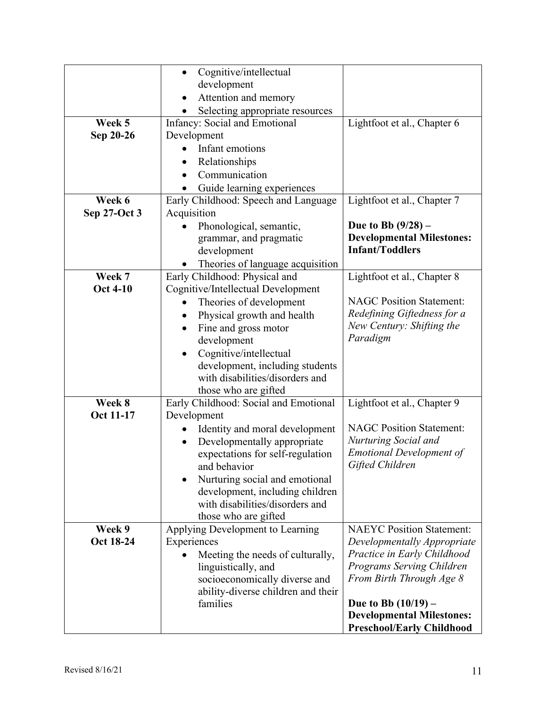|                  | Cognitive/intellectual<br>$\bullet$                                |                                                    |
|------------------|--------------------------------------------------------------------|----------------------------------------------------|
|                  | development                                                        |                                                    |
|                  | Attention and memory                                               |                                                    |
|                  | Selecting appropriate resources                                    |                                                    |
| Week 5           | <b>Infancy: Social and Emotional</b>                               | Lightfoot et al., Chapter 6                        |
| Sep 20-26        | Development                                                        |                                                    |
|                  | Infant emotions                                                    |                                                    |
|                  | Relationships                                                      |                                                    |
|                  | Communication                                                      |                                                    |
|                  | Guide learning experiences                                         |                                                    |
| Week 6           | Early Childhood: Speech and Language                               | Lightfoot et al., Chapter 7                        |
| Sep 27-Oct 3     | Acquisition                                                        |                                                    |
|                  | Phonological, semantic,                                            | Due to Bb $(9/28)$ –                               |
|                  | grammar, and pragmatic                                             | <b>Developmental Milestones:</b>                   |
|                  | development                                                        | <b>Infant/Toddlers</b>                             |
|                  | Theories of language acquisition                                   |                                                    |
| Week 7           | Early Childhood: Physical and                                      | Lightfoot et al., Chapter 8                        |
| <b>Oct 4-10</b>  | Cognitive/Intellectual Development                                 |                                                    |
|                  | Theories of development                                            | <b>NAGC Position Statement:</b>                    |
|                  | Physical growth and health<br>٠                                    | Redefining Giftedness for a                        |
|                  | Fine and gross motor<br>$\bullet$                                  | New Century: Shifting the<br>Paradigm              |
|                  | development                                                        |                                                    |
|                  | Cognitive/intellectual                                             |                                                    |
|                  | development, including students                                    |                                                    |
|                  | with disabilities/disorders and                                    |                                                    |
|                  | those who are gifted                                               |                                                    |
| Week 8           | Early Childhood: Social and Emotional                              | Lightfoot et al., Chapter 9                        |
| <b>Oct 11-17</b> | Development                                                        |                                                    |
|                  | Identity and moral development                                     | <b>NAGC Position Statement:</b>                    |
|                  | Developmentally appropriate<br>$\bullet$                           | Nurturing Social and                               |
|                  | expectations for self-regulation                                   | <b>Emotional Development of</b><br>Gifted Children |
|                  | and behavior                                                       |                                                    |
|                  | Nurturing social and emotional                                     |                                                    |
|                  | development, including children<br>with disabilities/disorders and |                                                    |
|                  |                                                                    |                                                    |
| Week 9           | those who are gifted                                               | <b>NAEYC Position Statement:</b>                   |
| Oct 18-24        | Applying Development to Learning<br>Experiences                    | Developmentally Appropriate                        |
|                  | Meeting the needs of culturally,                                   | Practice in Early Childhood                        |
|                  | linguistically, and                                                | Programs Serving Children                          |
|                  | socioeconomically diverse and                                      | From Birth Through Age 8                           |
|                  | ability-diverse children and their                                 |                                                    |
|                  | families                                                           | Due to Bb $(10/19)$ –                              |
|                  |                                                                    | <b>Developmental Milestones:</b>                   |
|                  |                                                                    | <b>Preschool/Early Childhood</b>                   |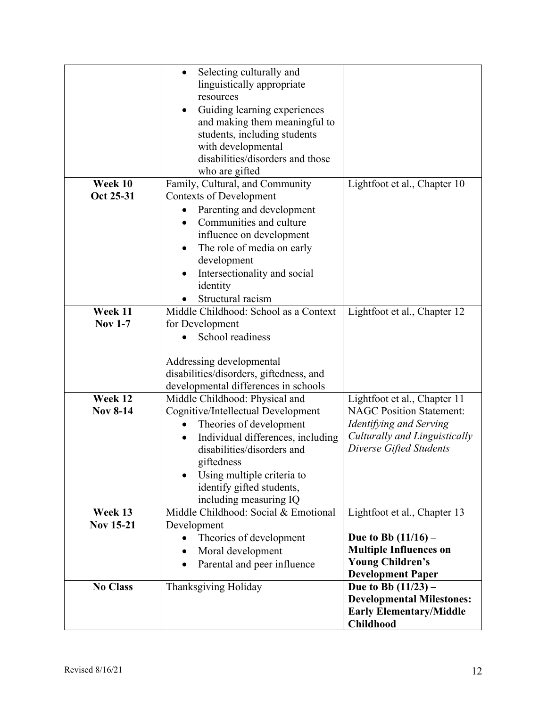|                             | Selecting culturally and<br>$\bullet$<br>linguistically appropriate<br>resources<br>Guiding learning experiences<br>٠<br>and making them meaningful to<br>students, including students<br>with developmental<br>disabilities/disorders and those<br>who are gifted                 |                                                                                                                                                        |
|-----------------------------|------------------------------------------------------------------------------------------------------------------------------------------------------------------------------------------------------------------------------------------------------------------------------------|--------------------------------------------------------------------------------------------------------------------------------------------------------|
| Week 10<br>Oct 25-31        | Family, Cultural, and Community<br><b>Contexts of Development</b><br>Parenting and development<br>Communities and culture<br>$\bullet$<br>influence on development<br>The role of media on early<br>$\bullet$<br>development<br>Intersectionality and social<br>identity           | Lightfoot et al., Chapter 10                                                                                                                           |
| Week 11<br><b>Nov 1-7</b>   | Structural racism<br>Middle Childhood: School as a Context<br>for Development<br>School readiness<br>Addressing developmental<br>disabilities/disorders, giftedness, and<br>developmental differences in schools                                                                   | Lightfoot et al., Chapter 12                                                                                                                           |
| Week 12<br><b>Nov 8-14</b>  | Middle Childhood: Physical and<br>Cognitive/Intellectual Development<br>Theories of development<br>Individual differences, including<br>$\bullet$<br>disabilities/disorders and<br>giftedness<br>Using multiple criteria to<br>identify gifted students,<br>including measuring IQ | Lightfoot et al., Chapter 11<br><b>NAGC Position Statement:</b><br>Identifying and Serving<br>Culturally and Linguistically<br>Diverse Gifted Students |
| Week 13<br><b>Nov 15-21</b> | Middle Childhood: Social & Emotional<br>Development<br>Theories of development<br>Moral development<br>Parental and peer influence                                                                                                                                                 | Lightfoot et al., Chapter 13<br>Due to Bb $(11/16)$ –<br><b>Multiple Influences on</b><br><b>Young Children's</b><br><b>Development Paper</b>          |
| <b>No Class</b>             | Thanksgiving Holiday                                                                                                                                                                                                                                                               | Due to Bb $(11/23)$ –<br><b>Developmental Milestones:</b><br><b>Early Elementary/Middle</b><br><b>Childhood</b>                                        |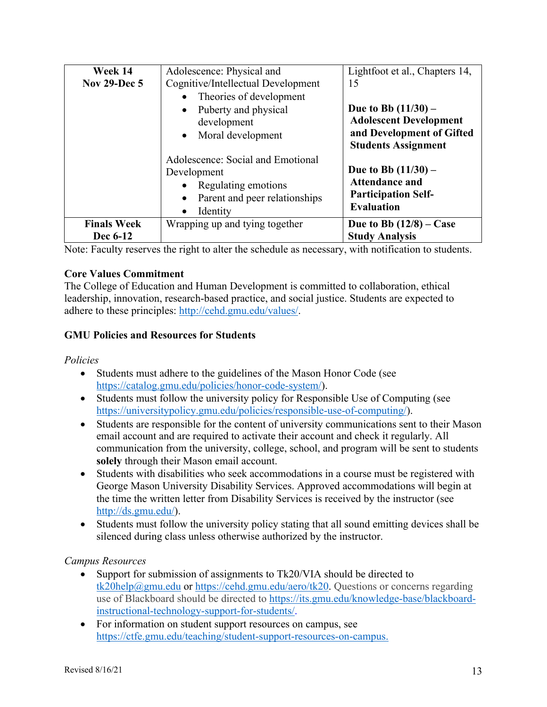| Week 14             | Adolescence: Physical and                                                                                                                                   | Lightfoot et al., Chapters 14,                                                                                    |
|---------------------|-------------------------------------------------------------------------------------------------------------------------------------------------------------|-------------------------------------------------------------------------------------------------------------------|
| <b>Nov 29-Dec 5</b> | Cognitive/Intellectual Development                                                                                                                          | 15                                                                                                                |
|                     | Theories of development<br>$\bullet$<br>Puberty and physical<br>$\bullet$<br>development<br>• Moral development                                             | Due to Bb $(11/30)$ –<br><b>Adolescent Development</b><br>and Development of Gifted<br><b>Students Assignment</b> |
|                     | Adolescence: Social and Emotional<br>Development<br>Regulating emotions<br>$\bullet$<br>Parent and peer relationships<br>$\bullet$<br>Identity<br>$\bullet$ | Due to Bb $(11/30)$ –<br><b>Attendance and</b><br><b>Participation Self-</b><br><b>Evaluation</b>                 |
| <b>Finals Week</b>  | Wrapping up and tying together                                                                                                                              | Due to Bb $(12/8)$ – Case                                                                                         |
| Dec 6-12            |                                                                                                                                                             | <b>Study Analysis</b>                                                                                             |

Note: Faculty reserves the right to alter the schedule as necessary, with notification to students.

## **Core Values Commitment**

The College of Education and Human Development is committed to collaboration, ethical leadership, innovation, research-based practice, and social justice. Students are expected to adhere to these principles: http://cehd.gmu.edu/values/.

# **GMU Policies and Resources for Students**

*Policies*

- Students must adhere to the guidelines of the Mason Honor Code (see https://catalog.gmu.edu/policies/honor-code-system/).
- Students must follow the university policy for Responsible Use of Computing (see https://universitypolicy.gmu.edu/policies/responsible-use-of-computing/).
- Students are responsible for the content of university communications sent to their Mason email account and are required to activate their account and check it regularly. All communication from the university, college, school, and program will be sent to students **solely** through their Mason email account.
- Students with disabilities who seek accommodations in a course must be registered with George Mason University Disability Services. Approved accommodations will begin at the time the written letter from Disability Services is received by the instructor (see http://ds.gmu.edu/).
- Students must follow the university policy stating that all sound emitting devices shall be silenced during class unless otherwise authorized by the instructor.

# *Campus Resources*

- Support for submission of assignments to Tk20/VIA should be directed to tk20help@gmu.edu or https://cehd.gmu.edu/aero/tk20. Questions or concerns regarding use of Blackboard should be directed to https://its.gmu.edu/knowledge-base/blackboardinstructional-technology-support-for-students/.
- For information on student support resources on campus, see https://ctfe.gmu.edu/teaching/student-support-resources-on-campus.